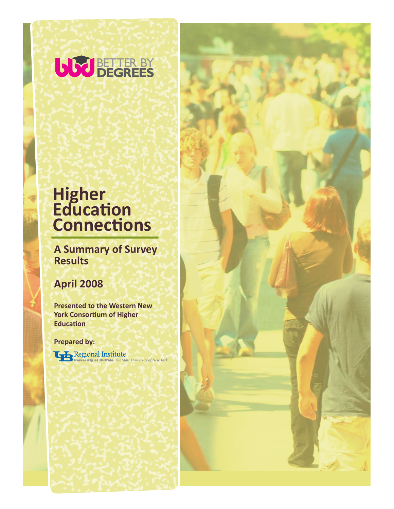

# **Higher Education Connections**

**A Summary of Survey Results**

## **April 2008**

**Presented to the Western New York Consortium of Higher Education** 

**Prepared by:**

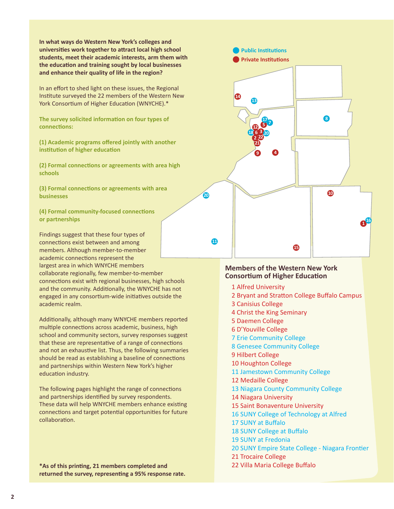**In what ways do Western New York's colleges and universities work together to attract local high school students, meet their academic interests, arm them with** the education and training sought by local businesses **and enhance their quality of life in the region?**  $5 - 6$  Christ the King Seminary

In an effort to shed light on these issues, the Regional Institute surveyed the 22 members of the Western New York Consortium of Higher Education (WNYCHE).\*

**The survey solicited information on four types of connections:** 

(1) Academic programs offered jointly with another **17 Institution of higher education** 15 Niagara University

**(2) Formal connections or agreements with area high schools** 21 SUNY Empire State College - Niagara Frontier

**(3) Formal connections or agreements with area businesses** 

> **(4) Formal community-focused connections or partnerships**

Findings suggest that these four types of connections exist between and among members. Although member-to-member academic connections represent the largest area in which WNYCHE members collaborate regionally, few member-to-member connections exist with regional businesses, high schools and the community. Additionally, the WNYCHE has not engaged in any consortium-wide initiatives outside the academic realm.

Additionally, although many WNYCHE members reported multiple connections across academic, business, high school and community sectors, survey responses suggest that these are representative of a range of connections and not an exhaustive list. Thus, the following summaries should be read as establishing a baseline of connections and partnerships within Western New York's higher education industry.

The following pages highlight the range of connections and partnerships identified by survey respondents. These data will help WNYCHE members enhance existing connections and target potential opportunities for future collaboration.

**\*As of this printing, 21 members completed and returned the survey, representing a 95% response rate.**

#### **Members of the Western New York Consortium of Higher Education**

1 Alfred University

**18 6 3 2 22 20 12**

**13**

**Public Institutions Private Institutions**

**14**

**20**

**11**

**21**

**9 4**

**5 7 17**

2 Bryant and Stratton College Buffalo Campus

**15**

**10**

**8**

**<sup>1</sup> <sup>16</sup>**

- 3 Canisius College
- 4 Christ the King Seminary
- 5 Daemen College
- 6 D'Youville College
- 7 Erie Community College
- 8 Genesee Community College
- 9 Hilbert College
- 10 Houghton College
- 11 Jamestown Community College
- 12 Medaille College
- 13 Niagara County Community College
- 14 Niagara University
- 15 Saint Bonaventure University
- 16 SUNY College of Technology at Alfred
- 17 SUNY at Buffalo
- 18 SUNY College at Buffalo
- 19 SUNY at Fredonia
- 20 SUNY Empire State College Niagara Frontier
- 21 Trocaire College
- 22 Villa Maria College Buffalo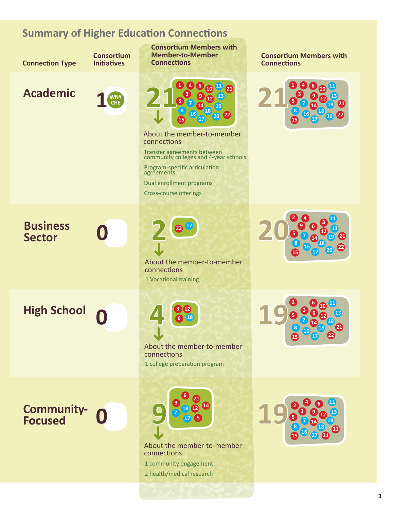### **Summary of Higher Education Connections**

**Connection Type**

**Consortium Initiatives**

## **Academic**



**Consortium Members with Member-to-Member Connections**



About the member-to-member connections

Transfer agreements between community colleges and 4-year schools

Program-specific articulation agreements

Dual enrollment programs

Cross-course offerings

**Business** 

 **High School 19**

 **Community-**



About the member-to-member connections 1 Vocational training



About the member-to-member connections

1 college preparation program



About the member-to-member connections

1 community engagement 2 health/medical research

**Consortium Members with Connections**





 **<sup>11</sup> <sup>13</sup>** 

 **<sup>13</sup> <sup>17</sup> 18 19 1 1 1 1 1 1 1 1**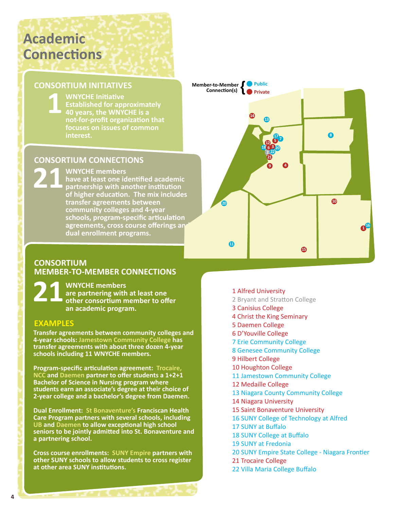# **Academic Connections**

13 Medaille College

#### **CONSORTIUM INITIATIVES** , ONSORTIUM INITIATIV

**12 BENDEAD WAYCHE Initiative**<br>**140 years, the WNYC Established for approximately 40 years, the WNYCHE is a Fig. 6. Genese Connect Construction Connect Profit or ganization that** *focuses on issues of common* **interest.** 4 Canisius College **WNYCHE Initiative** 6 Daemen College 7 D'Youville College  $\sim$  40 years 12 Jamestown Community College in the college of  $\mathbf{I}$ 

### **CONSORTIUM CONNECTIONS**

14 Niagara County Community College

**21 WNYCHE members**<br>have at least one identified by partnership with an **19 SUNY COLLEGE ACCORDING A LIGARY CONTROLLEGE AND THE VIOLENCE AND THE VIOLENCE AND THE VIOLENCE AND THE VIOLENCE AND THE VIOLENCE AND THE VIOLENCE AND THE VIOLENCE ATT ON THE VIOLENCE AND THE VIOLENCE AND THE VIOLENCE A 21 partnership with another institution 22 Trocation.** The mix includes **22 Bryant and Stransfer agreements between community colleges and 4-year schools, program-specific articulation agreements, cross course offerings and dual enrollment programs. WNYCHE members**  $\mathcal{L}$  Sun  $\mathcal{L}$  at Fred  $23$  Villa Maria College Buffalo

### **CONSORTIUM MEMBER-TO-MEMBER CONNECTIONS**

**21 WNYCHE members other consortium member to offer are partnering with at least one an academic program.** 

### **EXAMPLES**

**Transfer agreements between community colleges and 4-year schools: Jamestown Community College has transfer agreements with about three dozen 4-year schools including 11 WNYCHE members.** 

**Program-specific articulation agreement: Trocaire, NCC and Daemen partner to offer students a 1+2+1 Bachelor of Science in Nursing program where students earn an associate's degree at their choice of 2-year college and a bachelor's degree from Daemen.**

**Dual Enrollment: St Bonaventure's Franciscan Health Care Program partners with several schools, including UB and Daemen to allow exceptional high school seniors to be jointly admitted into St. Bonaventure and a partnering school.** 

**Cross course enrollments: SUNY Empire partners with other SUNY schools to allow students to cross register at other area SUNY institutions.**

- **18 6 3 2 22 20 12 21 9 4 5 7 17 13**  $\bf 44$ **15 20** 10 **10 <sup>1</sup> <sup>16</sup> 8 Public { Private Member-to-Member Connection(s)** 
	- 1 Alfred University
	- 2 Bryant and Stratton College
	- 3 Canisius College
	- 4 Christ the King Seminary
	- 5 Daemen College
	- 6 D'Youville College
	- 7 Erie Community College
	- 8 Genesee Community College
	- 9 Hilbert College
	- 10 Houghton College
	- 11 Jamestown Community College
	- 12 Medaille College
	- 13 Niagara County Community College
	- 14 Niagara University
	- 15 Saint Bonaventure University
	- 16 SUNY College of Technology at Alfred
	- 17 SUNY at Buffalo
	- 18 SUNY College at Buffalo
	- 19 SUNY at Fredonia
	- 20 SUNY Empire State College Niagara Frontier
	- 21 Trocaire College
	- 22 Villa Maria College Buffalo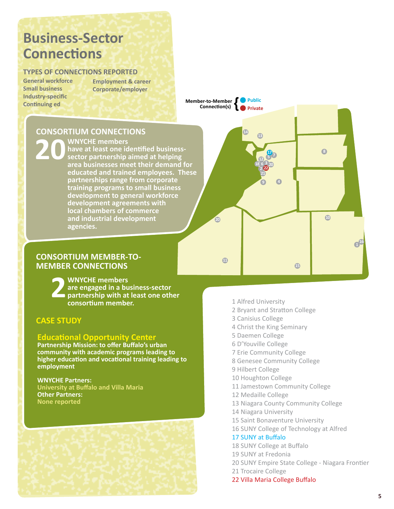# **Business-Sector Connections**

#### **TYPES OF CONNECTIONS REPORTED**

**General workforce Small business Industry-specific Continuing ed Bryant and Stratton Campus** lustry-specific and Tampus Campus 4 Canisius College

5 Christ the King Seminary

**Employment & career Corporate/employer**

> **Member-to-Member & Public Connection(s) Connection(s)**

> > **20**

**11**

#### **CONSORTIUM CONNECTIONS CONSORTILI**

**WNYCHE** members 10 Hilbert College 1

**20** WNYCHE members<br> **20** bave at least one id<br>
sector partnership **have at least one identified business-12 Sector partnership aimed at helping Alternative State area businesses meet their demand for Educated and trained employees. These Partnerships range from corporate training programs to small business development to general workforce development agreements with 23 Villa Maria College Buffalo Buffalo Buffalo Buffalo Buffalo Buffalo Buffalo Buffalo Buffalo Buffalo Buffalo 22 Bryant and industrial development agencies.**  11 Houghton College Pro 13 Medaille College 20 SUNY at Fredonia

#### **CONSORTIUM MEMBER-TO-MEMBER CONNECTIONS**

**2WNYCHE members**<br>are engaged in a bu<br>partnership with at **are engaged in a business-sector partnership with at least one other consortium member.** 

#### **CASE STUDY**

#### **Educational Opportunity Center**

**Partnership Mission: to offer Buffalo's urban community with academic programs leading to higher education and vocational training leading to employment**

#### **WNYCHE Partners: University at Buffalo and Villa Maria Other Partners: None reported**



1 Alfred University

**18 6 3 2 22 20 12**

**13**

**14**

**5 7 17**

**21 9 4**

2 Bryant and Stratton College

**15** 

**10**

**8**

 $10^{11}$ 

- 3 Canisius College
- 4 Christ the King Seminary
- 5 Daemen College
- 6 D'Youville College
- 7 Erie Community College
- 8 Genesee Community College
- 9 Hilbert College
- 10 Houghton College
- 11 Jamestown Community College
- 12 Medaille College
- 13 Niagara County Community College
- 14 Niagara University
- 15 Saint Bonaventure University
- 16 SUNY College of Technology at Alfred

#### 17 SUNY at Buffalo

- 18 SUNY College at Buffalo
- 19 SUNY at Fredonia
- 20 SUNY Empire State College Niagara Frontier
- 21 Trocaire College
- 22 Villa Maria College Buffalo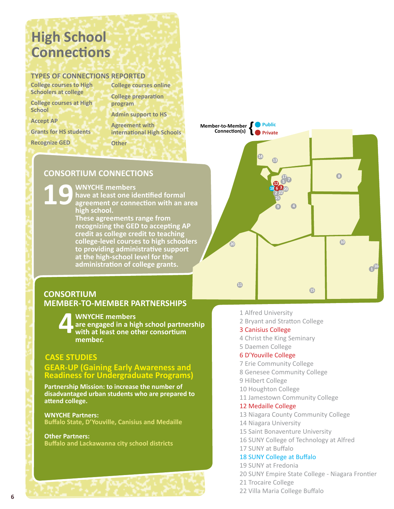# **High School Connections**

#### **TYPES OF CONNECTIONS REPORTED**

**College courses to High Schoolers at college**

**College courses at High School**

**Accept AP** 

**Grants for HS students 3 Bryant and Stratton** College Buffalo s for HS stud

8 Erie Community College

**Recognize GED**  $S$ nize GED $\Gamma$ 

**Agreement with and Stratton College-American** College-American College-American Campus Campus Campus Campus Campus **international High Schools Other**

**Admin support to HS**

**program**

**College courses online College preparation** 

#### **CONSORTIUM CONNECTIONS** 20110 Metal

13 Medaille College **WNYCHE members** 

**19 a** WNYCHE members<br> **19** agreement or connection with an area **15 Niagara Library** have at least one identified formal **high school.**  $\sim$  agreement of t

**These agreements range from recognizing the GED to accepting AP 22 Trocalis College credit to teaching 23 Villa College-level courses to high schoolers to providing administrative support at the high-school level for the administration of college grants.**   $\mathbb{Z}^2$  sum  $\mathbb{Z}^2$  sum  $\mathbb{Z}^2$  sum  $\mathbb{Z}^2$  sum  $\mathbb{Z}^2$  sum  $\mathbb{Z}^2$  sum  $\mathbb{Z}^2$  sum  $\mathbb{Z}^2$  sum  $\mathbb{Z}^2$  sum  $\mathbb{Z}^2$  sum  $\mathbb{Z}^2$  sum  $\mathbb{Z}^2$  sum  $\mathbb{Z}^2$  sum  $\mathbb{Z}^2$  sum  $\mathbb{Z}^2$  24 Bryant and Stratton College-Lackawan



#### **CONSORTIUM MEMBER-TO-MEMBER PARTNERSHIPS**

**4WNYCHE members with at least one other consortium are engaged in a high school partnership member.** 

### **CASE STUDIES**

#### **GEAR-UP (Gaining Early Awareness and Readiness for Undergraduate Programs)**

**Partnership Mission: to increase the number of disadvantaged urban students who are prepared to attend college.** 

**WNYCHE Partners: Buffalo State, D'Youville, Canisius and Medaille**

**Other Partners: Buffalo and Lackawanna city school districts** 

- 1 Alfred University
- 2 Bryant and Stratton College

#### 3 Canisius College

- 4 Christ the King Seminary
- 5 Daemen College

#### 6 D'Youville College

- 7 Erie Community College
- 8 Genesee Community College
- 9 Hilbert College
- 10 Houghton College
- 11 Jamestown Community College

#### 12 Medaille College

- 13 Niagara County Community College
- 14 Niagara University
- 15 Saint Bonaventure University
- 16 SUNY College of Technology at Alfred
- 17 SUNY at Buffalo

#### 18 SUNY College at Buffalo

- 19 SUNY at Fredonia
- 20 SUNY Empire State College Niagara Frontier
- 21 Trocaire College
- 22 Villa Maria College Buffalo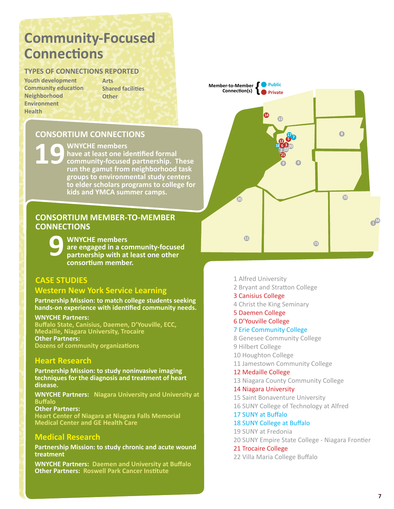# **Community-Focused Connections**

#### **TYPES OF CONNECTIONS REPORTED**

**Youth development Community education Neighborhood Environment Health** 4 Canisius College  $\sim$   $\sim$   $\sim$   $\sim$   $\sim$   $\sim$ 

**Arts Shared facilities Other**  $\sum_{i=1}^n A_i$ rs Campus Campus Campus Campus Campus Campus Campus Campus Campus Campus Campus Campus Campus Campus Campus Campus Campus Campus Campus Campus Campus Campus Campus Campus Campus Campus Campus Campus Campus Ca

#### **CONSORTIUM CONNECTIONS** 7 JAMESTOWN COMMECT

9 Genesee Community College 10 Hilbert College

#### $\blacksquare$  WNYCHE members

**19 19** WNYCHE members<br>
thave at least one id<br>
community-focused<br>  $\frac{1}{2}$ have at least one identified formal **community-focused partnership. These** run the gamut from neighborhood task **groups to environmental study centers** to elder scholars programs to college for **22 State Summer College State College State**  $\frac{1}{2}$  Have at least VIII  $1911$  cm  $391110$  $\overline{\phantom{a}}$  Kids and Yivic $\mu$ 

#### **CONSORTIUM MEMBER-TO-MEMBER CONNECTIONS**

**9 WNYCHE members**<br>are engaged in a compartnership with at **are engaged in a community-focused partnership with at least one other consortium member.** 

### **CASE STUDIES**

#### **Western New York Service Learning**

**Partnership Mission: to match college students seeking hands-on experience with identified community needs.** 

#### **WNYCHE Partners:**

**Buffalo State, Canisius, Daemen, D'Youville, ECC, Medaille, Niagara University, Trocaire Other Partners: Dozens of community organizations** 

#### **Heart Research**

**Partnership Mission: to study noninvasive imaging techniques for the diagnosis and treatment of heart disease.** 

**WNYCHE Partners: Niagara University and University at Buffalo** 

**Other Partners: Heart Center of Niagara at Niagara Falls Memorial Medical Center and GE Health Care** 

#### **Medical Research**

**Partnership Mission: to study chronic and acute wound treatment**

**WNYCHE Partners: Daemen and University at Buffalo Other Partners: Roswell Park Cancer Institute** 



- 1 Alfred University
- 2 Bryant and Stratton College

#### 3 Canisius College

- 4 Christ the King Seminary
- 5 Daemen College
- 6 D'Youville College

#### 7 Erie Community College

- 8 Genesee Community College
- 9 Hilbert College
- 10 Houghton College
- 11 Jamestown Community College

#### 12 Medaille College

13 Niagara County Community College

14 Niagara University 15 Saint Bonaventure University 16 SUNY College of Technology at Alfred

#### 17 SUNY at Buffalo

18 SUNY College at Buffalo

19 SUNY at Fredonia 20 SUNY Empire State College - Niagara Frontier

21 Trocaire College

22 Villa Maria College Buffalo